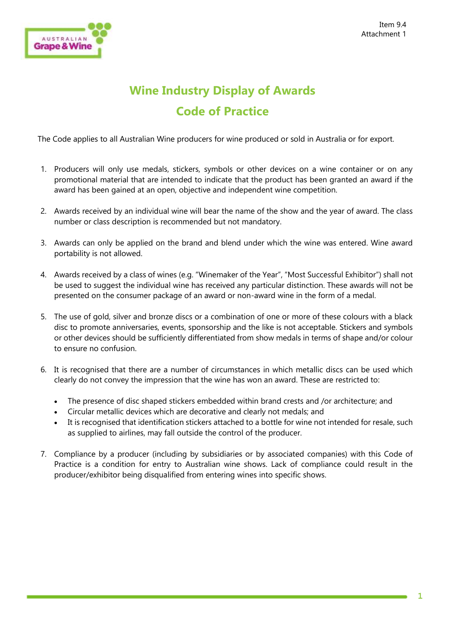

## **Wine Industry Display of Awards Code of Practice**

The Code applies to all Australian Wine producers for wine produced or sold in Australia or for export.

- 1. Producers will only use medals, stickers, symbols or other devices on a wine container or on any promotional material that are intended to indicate that the product has been granted an award if the award has been gained at an open, objective and independent wine competition.
- 2. Awards received by an individual wine will bear the name of the show and the year of award. The class number or class description is recommended but not mandatory.
- 3. Awards can only be applied on the brand and blend under which the wine was entered. Wine award portability is not allowed.
- 4. Awards received by a class of wines (e.g. "Winemaker of the Year", "Most Successful Exhibitor") shall not be used to suggest the individual wine has received any particular distinction. These awards will not be presented on the consumer package of an award or non-award wine in the form of a medal.
- 5. The use of gold, silver and bronze discs or a combination of one or more of these colours with a black disc to promote anniversaries, events, sponsorship and the like is not acceptable. Stickers and symbols or other devices should be sufficiently differentiated from show medals in terms of shape and/or colour to ensure no confusion.
- 6. It is recognised that there are a number of circumstances in which metallic discs can be used which clearly do not convey the impression that the wine has won an award. These are restricted to:
	- The presence of disc shaped stickers embedded within brand crests and /or architecture; and
	- Circular metallic devices which are decorative and clearly not medals; and
	- It is recognised that identification stickers attached to a bottle for wine not intended for resale, such as supplied to airlines, may fall outside the control of the producer.
- 7. Compliance by a producer (including by subsidiaries or by associated companies) with this Code of Practice is a condition for entry to Australian wine shows. Lack of compliance could result in the producer/exhibitor being disqualified from entering wines into specific shows.